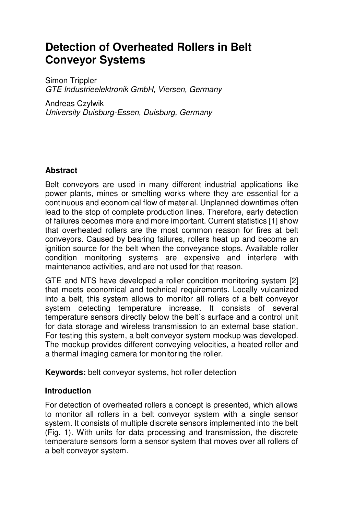# **Detection of Overheated Rollers in Belt Conveyor Systems**

Simon Trippler GTE Industrieelektronik GmbH, Viersen, Germany

Andreas Czylwik University Duisburg-Essen, Duisburg, Germany

## **Abstract**

Belt conveyors are used in many different industrial applications like power plants, mines or smelting works where they are essential for a continuous and economical flow of material. Unplanned downtimes often lead to the stop of complete production lines. Therefore, early detection of failures becomes more and more important. Current statistics [1] show that overheated rollers are the most common reason for fires at belt conveyors. Caused by bearing failures, rollers heat up and become an ignition source for the belt when the conveyance stops. Available roller condition monitoring systems are expensive and interfere with maintenance activities, and are not used for that reason.

GTE and NTS have developed a roller condition monitoring system [2] that meets economical and technical requirements. Locally vulcanized into a belt, this system allows to monitor all rollers of a belt conveyor system detecting temperature increase. It consists of several temperature sensors directly below the belt´s surface and a control unit for data storage and wireless transmission to an external base station. For testing this system, a belt conveyor system mockup was developed. The mockup provides different conveying velocities, a heated roller and a thermal imaging camera for monitoring the roller.

**Keywords:** belt conveyor systems, hot roller detection

## **Introduction**

For detection of overheated rollers a concept is presented, which allows to monitor all rollers in a belt conveyor system with a single sensor system. It consists of multiple discrete sensors implemented into the belt (Fig. 1). With units for data processing and transmission, the discrete temperature sensors form a sensor system that moves over all rollers of a belt conveyor system.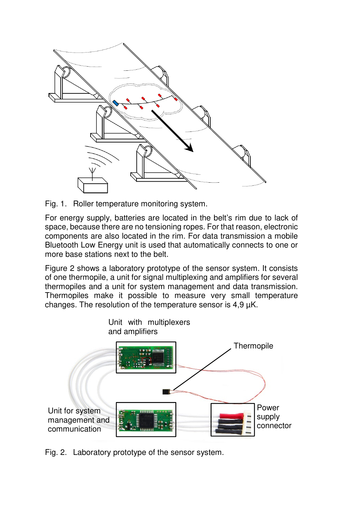

Fig. 1. Roller temperature monitoring system.

For energy supply, batteries are located in the belt's rim due to lack of space, because there are no tensioning ropes. For that reason, electronic components are also located in the rim. For data transmission a mobile Bluetooth Low Energy unit is used that automatically connects to one or more base stations next to the belt.

Figure 2 shows a laboratory prototype of the sensor system. It consists of one thermopile, a unit for signal multiplexing and amplifiers for several thermopiles and a unit for system management and data transmission. Thermopiles make it possible to measure very small temperature changes. The resolution of the temperature sensor is  $4.9 \mu K$ .



Fig. 2. Laboratory prototype of the sensor system.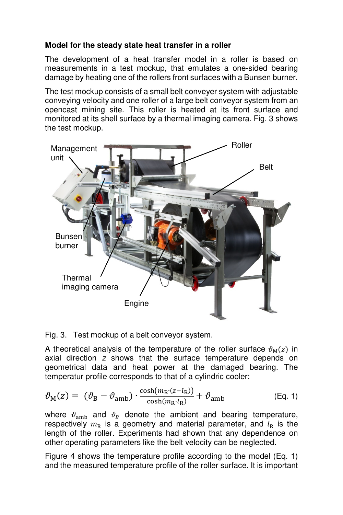# **Model for the steady state heat transfer in a roller**

The development of a heat transfer model in a roller is based on measurements in a test mockup, that emulates a one-sided bearing damage by heating one of the rollers front surfaces with a Bunsen burner.

The test mockup consists of a small belt conveyer system with adjustable conveying velocity and one roller of a large belt conveyor system from an opencast mining site. This roller is heated at its front surface and monitored at its shell surface by a thermal imaging camera. Fig. 3 shows the test mockup.



Fig. 3. Test mockup of a belt conveyor system.

A theoretical analysis of the temperature of the roller surface  $\vartheta_{\text{M}}(z)$  in axial direction z shows that the surface temperature depends on geometrical data and heat power at the damaged bearing. The temperatur profile corresponds to that of a cylindric cooler:

$$
\vartheta_{\rm M}(z) = (\vartheta_{\rm B} - \vartheta_{\rm amb}) \cdot \frac{\cosh(m_{\rm R} \cdot (z - l_{\rm R}))}{\cosh(m_{\rm R} \cdot l_{\rm R})} + \vartheta_{\rm amb}
$$
 (Eq. 1)

where  $\vartheta_{\rm amb}$  and  $\vartheta_B$  denote the ambient and bearing temperature, respectively  $m_R$  is a geometry and material parameter, and  $l_R$  is the length of the roller. Experiments had shown that any dependence on other operating parameters like the belt velocity can be neglected.

Figure 4 shows the temperature profile according to the model (Eq. 1) and the measured temperature profile of the roller surface. It is important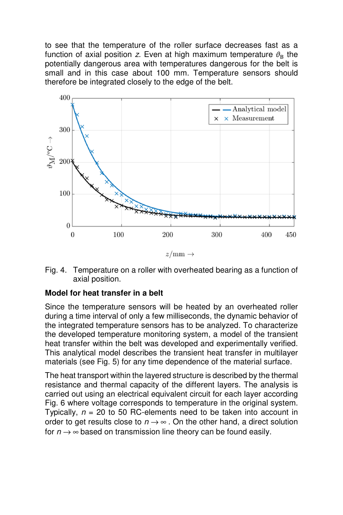to see that the temperature of the roller surface decreases fast as a function of axial position z. Even at high maximum temperature  $\vartheta_B$  the potentially dangerous area with temperatures dangerous for the belt is small and in this case about 100 mm. Temperature sensors should therefore be integrated closely to the edge of the belt.



Fig. 4. Temperature on a roller with overheated bearing as a function of axial position.

## **Model for heat transfer in a belt**

Since the temperature sensors will be heated by an overheated roller during a time interval of only a few milliseconds, the dynamic behavior of the integrated temperature sensors has to be analyzed. To characterize the developed temperature monitoring system, a model of the transient heat transfer within the belt was developed and experimentally verified. This analytical model describes the transient heat transfer in multilayer materials (see Fig. 5) for any time dependence of the material surface.

The heat transport within the layered structure is described by the thermal resistance and thermal capacity of the different layers. The analysis is carried out using an electrical equivalent circuit for each layer according Fig. 6 where voltage corresponds to temperature in the original system. Typically,  $n = 20$  to 50 RC-elements need to be taken into account in order to get results close to  $n \rightarrow \infty$ . On the other hand, a direct solution for  $n \rightarrow \infty$  based on transmission line theory can be found easily.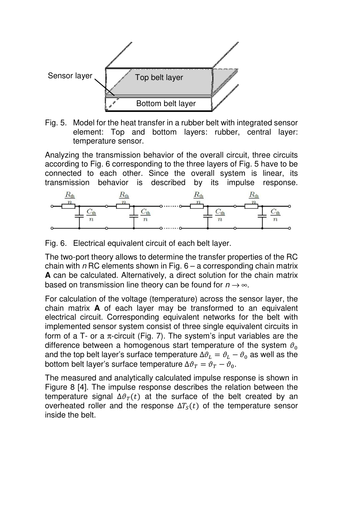

Fig. 5. Model for the heat transfer in a rubber belt with integrated sensor element: Top and bottom layers: rubber, central layer: temperature sensor.

Analyzing the transmission behavior of the overall circuit, three circuits according to Fig. 6 corresponding to the three layers of Fig. 5 have to be connected to each other. Since the overall system is linear, its transmission behavior is described by its impulse response.



Fig. 6. Electrical equivalent circuit of each belt layer.

The two-port theory allows to determine the transfer properties of the RC chain with  $n$  RC elements shown in Fig.  $6 - a$  corresponding chain matrix **A** can be calculated. Alternatively, a direct solution for the chain matrix based on transmission line theory can be found for  $n \rightarrow \infty$ .

For calculation of the voltage (temperature) across the sensor layer, the chain matrix **A** of each layer may be transformed to an equivalent electrical circuit. Corresponding equivalent networks for the belt with implemented sensor system consist of three single equivalent circuits in form of a T- or a  $\pi$ -circuit (Fig. 7). The system's input variables are the difference between a homogenous start temperature of the system  $\vartheta_0$ and the top belt layer's surface temperature  $\Delta \vartheta_L = \vartheta_L - \vartheta_0$  as well as the bottom belt layer's surface temperature  $\Delta \vartheta_{T} = \vartheta_{T} - \vartheta_{0}.$ 

The measured and analytically calculated impulse response is shown in Figure 8 [4]. The impulse response describes the relation between the temperature signal  $\Delta \vartheta_T(t)$  at the surface of the belt created by an overheated roller and the response  $\Delta T_s(t)$  of the temperature sensor inside the belt.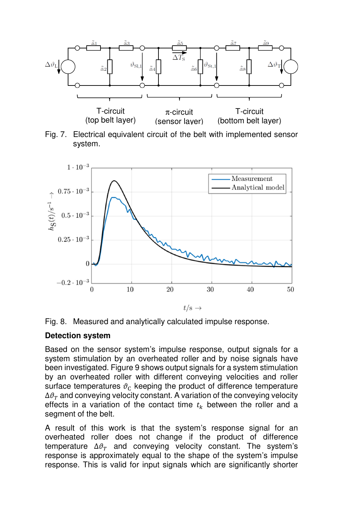







#### **Detection system**

Based on the sensor system's impulse response, output signals for a system stimulation by an overheated roller and by noise signals have been investigated. Figure 9 shows output signals for a system stimulation by an overheated roller with different conveying velocities and roller surface temperatures  $\vartheta_c$  keeping the product of difference temperature  $\Delta\vartheta_T$  and conveying velocity constant. A variation of the conveying velocity effects in a variation of the contact time  $t_k$  between the roller and a segment of the belt.

A result of this work is that the system's response signal for an overheated roller does not change if the product of difference temperature  $\Delta \vartheta_T$  and conveying velocity constant. The system's response is approximately equal to the shape of the system's impulse response. This is valid for input signals which are significantly shorter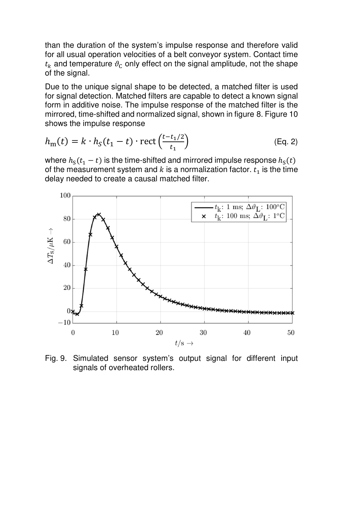than the duration of the system's impulse response and therefore valid for all usual operation velocities of a belt conveyor system. Contact time  $t_k$  and temperature  $\vartheta_c$  only effect on the signal amplitude, not the shape of the signal.

Due to the unique signal shape to be detected, a matched filter is used for signal detection. Matched filters are capable to detect a known signal form in additive noise. The impulse response of the matched filter is the mirrored, time-shifted and normalized signal, shown in figure 8. Figure 10 shows the impulse response

$$
h_{\mathbf{m}}(t) = k \cdot h_{S}(t_{1} - t) \cdot \text{rect}\left(\frac{t - t_{1}/2}{t_{1}}\right) \tag{Eq. 2}
$$

where  $h_S(t_1 - t)$  is the time-shifted and mirrored impulse response  $h_S(t)$ of the measurement system and  $k$  is a normalization factor.  $t_{\rm 1}$  is the time delay needed to create a causal matched filter.



Fig. 9. Simulated sensor system's output signal for different input signals of overheated rollers.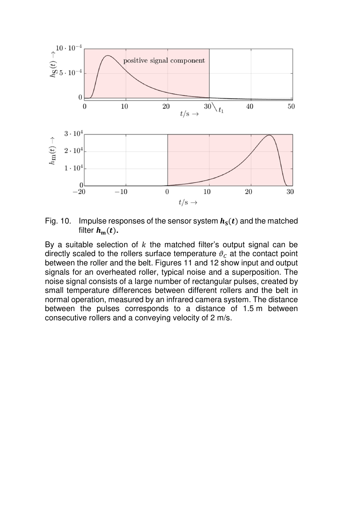

Fig. 10. Impulse responses of the sensor system  $h<sub>S</sub>(t)$  and the matched filter  $h_m(t)$ .

By a suitable selection of  $k$  the matched filter's output signal can be directly scaled to the rollers surface temperature  $\vartheta_c$  at the contact point between the roller and the belt. Figures 11 and 12 show input and output signals for an overheated roller, typical noise and a superposition. The noise signal consists of a large number of rectangular pulses, created by small temperature differences between different rollers and the belt in normal operation, measured by an infrared camera system. The distance between the pulses corresponds to a distance of 1.5 m between consecutive rollers and a conveying velocity of 2 m/s.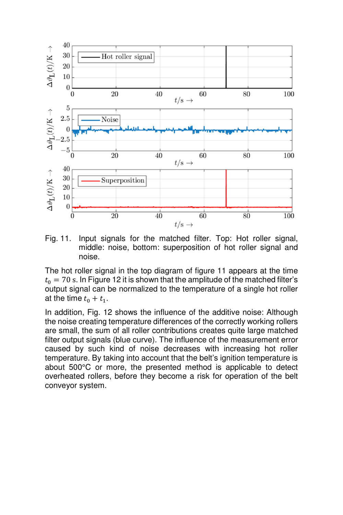

Fig. 11. Input signals for the matched filter. Top: Hot roller signal, middle: noise, bottom: superposition of hot roller signal and noise.

The hot roller signal in the top diagram of figure 11 appears at the time  $t_0 = 70$  s. In Figure 12 it is shown that the amplitude of the matched filter's output signal can be normalized to the temperature of a single hot roller at the time  $t_0 + t_1$ .

In addition, Fig. 12 shows the influence of the additive noise: Although the noise creating temperature differences of the correctly working rollers are small, the sum of all roller contributions creates quite large matched filter output signals (blue curve). The influence of the measurement error caused by such kind of noise decreases with increasing hot roller temperature. By taking into account that the belt's ignition temperature is about 500°C or more, the presented method is applicable to detect overheated rollers, before they become a risk for operation of the belt conveyor system.